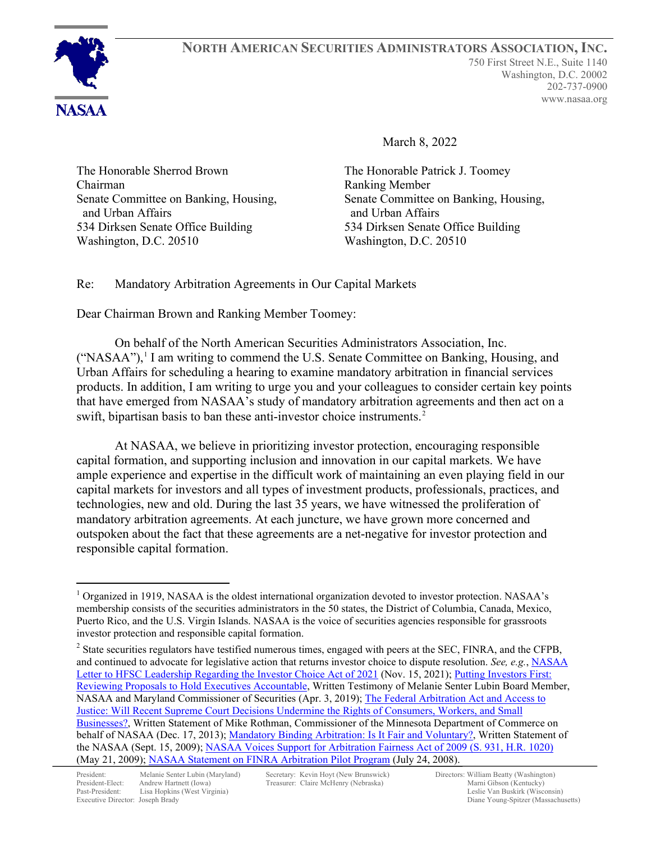

**NORTH AMERICAN SECURITIES ADMINISTRATORS ASSOCIATION, INC.** 750 First Street N.E., Suite 1140 Washington, D.C. 20002 202-737-0900 www.nasaa.org

March 8, 2022

The Honorable Sherrod Brown Chairman Senate Committee on Banking, Housing, and Urban Affairs 534 Dirksen Senate Office Building Washington, D.C. 20510

The Honorable Patrick J. Toomey Ranking Member Senate Committee on Banking, Housing, and Urban Affairs 534 Dirksen Senate Office Building Washington, D.C. 20510

## Re: Mandatory Arbitration Agreements in Our Capital Markets

Dear Chairman Brown and Ranking Member Toomey:

On behalf of the North American Securities Administrators Association, Inc.  $("NASAA")$ , I am writing to commend the U.S. Senate Committee on Banking, Housing, and Urban Affairs for scheduling a hearing to examine mandatory arbitration in financial services products. In addition, I am writing to urge you and your colleagues to consider certain key points that have emerged from NASAA's study of mandatory arbitration agreements and then act on a swift, bipartisan basis to ban these anti-investor choice instruments.<sup>[2](#page-0-1)</sup>

At NASAA, we believe in prioritizing investor protection, encouraging responsible capital formation, and supporting inclusion and innovation in our capital markets. We have ample experience and expertise in the difficult work of maintaining an even playing field in our capital markets for investors and all types of investment products, professionals, practices, and technologies, new and old. During the last 35 years, we have witnessed the proliferation of mandatory arbitration agreements. At each juncture, we have grown more concerned and outspoken about the fact that these agreements are a net-negative for investor protection and responsible capital formation.

<span id="page-0-0"></span> $1$  Organized in 1919, NASAA is the oldest international organization devoted to investor protection. NASAA's membership consists of the securities administrators in the 50 states, the District of Columbia, Canada, Mexico, Puerto Rico, and the U.S. Virgin Islands. NASAA is the voice of securities agencies responsible for grassroots investor protection and responsible capital formation.

<span id="page-0-1"></span> $2$  State securities regulators have testified numerous times, engaged with peers at the SEC, FINRA, and the CFPB, and continued to advocate for legislative action that returns investor choice to dispute resolution. *See, e.g.*, [NASAA](https://www.nasaa.org/wp-content/uploads/2021/11/NASAA-Letter-to-HFSC-Re-HR-2620-FINAL-11-15-21.pdf)  [Letter to HFSC Leadership Regarding the Investor Choice Act of 2021](https://www.nasaa.org/wp-content/uploads/2021/11/NASAA-Letter-to-HFSC-Re-HR-2620-FINAL-11-15-21.pdf) (Nov. 15, 2021); Putting Investors First: [Reviewing Proposals to Hold Executives Accountable,](https://www.nasaa.org/51431/putting-investors-first-reviewing-proposals-to-hold-executives-accountable/?qoid=policy) Written Testimony of Melanie Senter Lubin Board Member, NASAA and Maryland Commissioner of Securities (Apr. 3, 2019); [The Federal Arbitration Act and Access to](https://www.nasaa.org/28459/federal-arbitration-act-access-justice-will-recent-supreme-court-decisions-undermine-rights-consumers-workers-small-businesses/?qoid=testimony)  [Justice: Will Recent Supreme Court Decisions Undermine the Rights of Consumers, Workers, and Small](https://www.nasaa.org/28459/federal-arbitration-act-access-justice-will-recent-supreme-court-decisions-undermine-rights-consumers-workers-small-businesses/?qoid=testimony)  [Businesses?,](https://www.nasaa.org/28459/federal-arbitration-act-access-justice-will-recent-supreme-court-decisions-undermine-rights-consumers-workers-small-businesses/?qoid=testimony) Written Statement of Mike Rothman, Commissioner of the Minnesota Department of Commerce on behalf of NASAA (Dec. 17, 2013)[; Mandatory Binding Arbitration: Is It Fair and Voluntary?,](https://www.nasaa.org/807/mandatory-binding-arbitration-is-it-fair-and-voluntary/?qoid=legislative-activity) Written Statement of the NASAA (Sept. 15, 2009); [NASAA Voices Support for Arbitration Fairness Act of 2009 \(S. 931, H.R. 1020\)](https://www.nasaa.org/5297/nasaa-voices-support-for-arbitration-fairness-act-of-2009-s-931-h-r-1020/?qoid=newsroom) (May 21, 2009); [NASAA Statement on FINRA Arbitration Pilot Program](https://www.nasaa.org/5655/nasaa-statement-on-finra-arbitration-pilot-program/?qoid=current-headlines) (July 24, 2008).